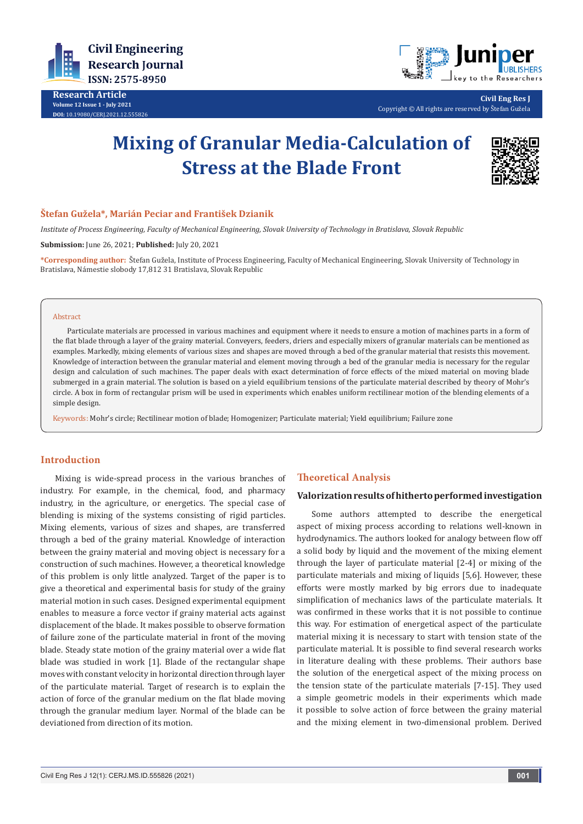

**Research Article Volume 12 Issue 1 - July 2021 DOI:** [10.19080/CERJ.2021.12.555826](http://dx.doi.org/10.19080/CERJ.2021.12.555826)



**Civil Eng Res J** Copyright © All rights are reserved by Štefan Gužela

# **Mixing of Granular Media-Calculation of Stress at the Blade Front**



## **Štefan Gužela\*, Marián Peciar and František Dzianik**

*Institute of Process Engineering, Faculty of Mechanical Engineering, Slovak University of Technology in Bratislava, Slovak Republic*

**Submission:** June 26, 2021; **Published:** July 20, 2021

**\*Corresponding author:** Štefan Gužela, Institute of Process Engineering, Faculty of Mechanical Engineering, Slovak University of Technology in Bratislava, Námestie slobody 17,812 31 Bratislava, Slovak Republic

#### Abstract

Particulate materials are processed in various machines and equipment where it needs to ensure a motion of machines parts in a form of the flat blade through a layer of the grainy material. Conveyers, feeders, driers and especially mixers of granular materials can be mentioned as examples. Markedly, mixing elements of various sizes and shapes are moved through a bed of the granular material that resists this movement. Knowledge of interaction between the granular material and element moving through a bed of the granular media is necessary for the regular design and calculation of such machines. The paper deals with exact determination of force effects of the mixed material on moving blade submerged in a grain material. The solution is based on a yield equilibrium tensions of the particulate material described by theory of Mohr's circle. A box in form of rectangular prism will be used in experiments which enables uniform rectilinear motion of the blending elements of a simple design.

Keywords: Mohr's circle; Rectilinear motion of blade; Homogenizer; Particulate material; Yield equilibrium; Failure zone

### **Introduction**

Mixing is wide-spread process in the various branches of industry. For example, in the chemical, food, and pharmacy industry, in the agriculture, or energetics. The special case of blending is mixing of the systems consisting of rigid particles. Mixing elements, various of sizes and shapes, are transferred through a bed of the grainy material. Knowledge of interaction between the grainy material and moving object is necessary for a construction of such machines. However, a theoretical knowledge of this problem is only little analyzed. Target of the paper is to give a theoretical and experimental basis for study of the grainy material motion in such cases. Designed experimental equipment enables to measure a force vector if grainy material acts against displacement of the blade. It makes possible to observe formation of failure zone of the particulate material in front of the moving blade. Steady state motion of the grainy material over a wide flat blade was studied in work [1]. Blade of the rectangular shape moves with constant velocity in horizontal direction through layer of the particulate material. Target of research is to explain the action of force of the granular medium on the flat blade moving through the granular medium layer. Normal of the blade can be deviationed from direction of its motion.

## **Theoretical Analysis**

#### **Valorization results of hitherto performed investigation**

Some authors attempted to describe the energetical aspect of mixing process according to relations well-known in hydrodynamics. The authors looked for analogy between flow off a solid body by liquid and the movement of the mixing element through the layer of particulate material [2-4] or mixing of the particulate materials and mixing of liquids [5,6]. However, these efforts were mostly marked by big errors due to inadequate simplification of mechanics laws of the particulate materials. It was confirmed in these works that it is not possible to continue this way. For estimation of energetical aspect of the particulate material mixing it is necessary to start with tension state of the particulate material. It is possible to find several research works in literature dealing with these problems. Their authors base the solution of the energetical aspect of the mixing process on the tension state of the particulate materials [7-15]. They used a simple geometric models in their experiments which made it possible to solve action of force between the grainy material and the mixing element in two-dimensional problem. Derived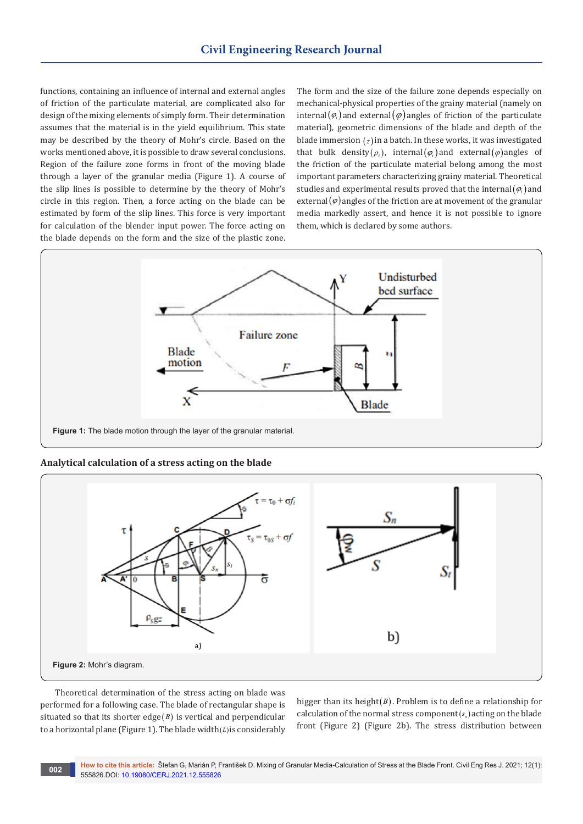functions, containing an influence of internal and external angles of friction of the particulate material, are complicated also for design of the mixing elements of simply form. Their determination assumes that the material is in the yield equilibrium. This state may be described by the theory of Mohr's circle. Based on the works mentioned above, it is possible to draw several conclusions. Region of the failure zone forms in front of the moving blade through a layer of the granular media (Figure 1). A course of the slip lines is possible to determine by the theory of Mohr's circle in this region. Then, a force acting on the blade can be estimated by form of the slip lines. This force is very important for calculation of the blender input power. The force acting on the blade depends on the form and the size of the plastic zone.

The form and the size of the failure zone depends especially on mechanical-physical properties of the grainy material (namely on internal( $\varphi$ <sub>i</sub>) and external( $\varphi$ ) angles of friction of the particulate material), geometric dimensions of the blade and depth of the blade immersion (*z*) in a batch. In these works, it was investigated that bulk density( $\rho_s$ ), internal( $\varphi_i$ ) and external( $\varphi$ ) angles of the friction of the particulate material belong among the most important parameters characterizing grainy material. Theoretical studies and experimental results proved that the internal $(\varphi_i)$  and external( $\varphi$ ) angles of the friction are at movement of the granular media markedly assert, and hence it is not possible to ignore them, which is declared by some authors.



**Analytical calculation of a stress acting on the blade**



Theoretical determination of the stress acting on blade was performed for a following case. The blade of rectangular shape is situated so that its shorter edge( $B$ ) is vertical and perpendicular to a horizontal plane (Figure 1). The blade width(*L*)is considerably

bigger than its height(*B*). Problem is to define a relationship for calculation of the normal stress component(s<sub>n</sub>) acting on the blade front (Figure 2) (Figure 2b). The stress distribution between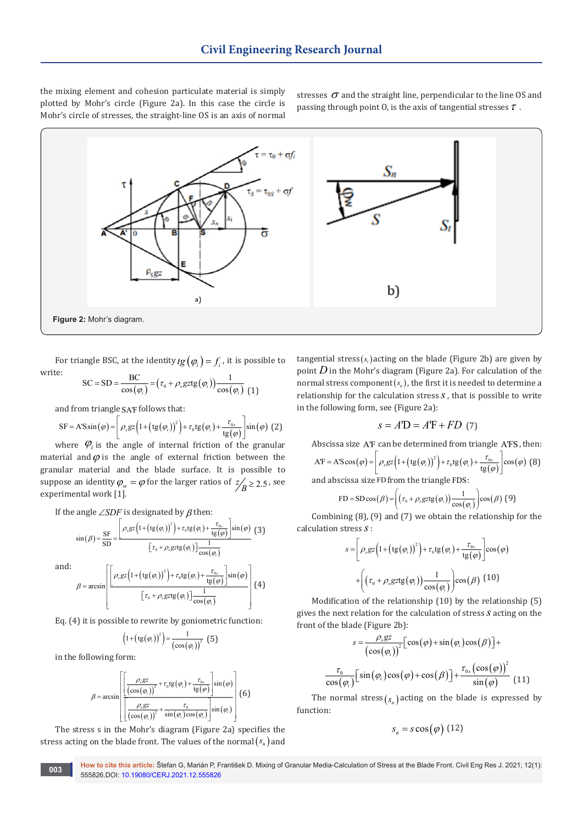the mixing element and cohesion particulate material is simply plotted by Mohr's circle (Figure 2a). In this case the circle is Mohr's circle of stresses, the straight-line OS is an axis of normal

stresses  $\sigma$  and the straight line, perpendicular to the line OS and passing through point 0, is the axis of tangential stresses  $\tau$ .



For triangle BSC, at the identity  $tg(\varphi_i) = f_i$ , it is possible to write:

$$
SC = SD = \frac{BC}{\cos(\varphi_i)} = (r_0 + \rho_s gztg(\varphi_i))\frac{1}{\cos(\varphi_i)} (1)
$$

and from triangle SA'F follows that:

$$
SF = A'S\sin(\varphi) = \left[\rho_s gz \left(1 + \left(tg(\varphi_i)\right)^2\right) + \tau_0 tg(\varphi_i) + \frac{\tau_{0s}}{tg(\varphi)}\right] \sin(\varphi) \tag{2}
$$

where  $\varphi$ <sub>*i*</sub> is the angle of internal friction of the granular material and  $\varphi$  is the angle of external friction between the granular material and the blade surface. It is possible to suppose an identity  $\varphi_w = \varphi$  for the larger ratios of  $z'_R \ge 2.5$ , see experimental work [1].

If the angle  $\angle$ *SDF* is designated by  $\beta$  then:

$$
\sin(\beta) = \frac{\text{SF}}{\text{SD}} = \frac{\left[\rho_s g z \left(1 + \left(\text{tg}(\varphi_i)\right)^2\right) + \tau_0 \text{tg}(\varphi_i) + \frac{\tau_{0s}}{\text{tg}(\varphi)}\right] \sin(\varphi)}{\left[\tau_0 + \rho_s g z \text{tg}(\varphi_i)\right] \frac{1}{\cos(\varphi_i)}} \tag{3}
$$

and:

$$
\beta = \arcsin\left[\frac{\left[\rho_s g z \left(1 + \left(\text{tg}(\varphi_i)\right)^2\right) + \tau_0 \text{tg}(\varphi_i) + \frac{\tau_{0s}}{\text{tg}(\varphi)}\right] \sin(\varphi)}{\left[\tau_0 + \rho_s g z \text{tg}(\varphi_i)\right] \frac{1}{\cos(\varphi_i)}}\right](4)
$$

Eq. (4) it is possible to rewrite by goniometric function:

$$
\left(1+\left(\text{tg}\left(\varphi_{i}\right)\right)^{2}\right)=\frac{1}{\left(\cos\left(\varphi_{i}\right)\right)^{2}}\tag{5}
$$

in the following form:

$$
\beta = \arcsin \left[ \frac{\left[ \frac{\rho_s gz}{\left( \cos(\varphi_i) \right)^2} + \tau_0 \text{tg}(\varphi_i) + \frac{\tau_{0s}}{\text{tg}(\varphi)} \right] \sin(\varphi)}{\left[ \frac{\rho_s gz}{\left( \cos(\varphi_i) \right)^2} + \frac{\tau_0}{\sin(\varphi_i) \cos(\varphi_i)} \right] \sin(\varphi_i)} \right] (6)
$$

The stress s in the Mohr's diagram (Figure 2a) specifies the stress acting on the blade front. The values of the normal $(s_n)$  and

tangential stress $(s<sub>i</sub>)$  acting on the blade (Figure 2b) are given by point  $D$  in the Mohr's diagram (Figure 2a). For calculation of the normal stress component( $s_n$ ), the first it is needed to determine a relationship for the calculation stress *s*, that is possible to write in the following form, see (Figure 2a):

$$
s = A'D = A'F + FD
$$
 (7)

Abscissa size A'F can be determined from triangle A'FS , then:

$$
AF = A'S\cos(\varphi) = \left[\rho_s gz \left(1 + \left(tg(\varphi_i)\right)^2\right) + \tau_0 tg(\varphi_i) + \frac{\tau_{0s}}{tg(\varphi)}\right] \cos(\varphi) \tag{8}
$$

and abscissa size FD from the triangle FDS:

$$
\text{FD} = \text{SD}\cos(\beta) = \left( \left( \tau_0 + \rho_s \text{grtg}(\varphi_i) \right) \frac{1}{\cos(\varphi_i)} \right) \cos(\beta) \tag{9}
$$

Combining (8), (9) and (7) we obtain the relationship for the calculation stress *s*:

$$
s = \left[\rho_s gz \left(1 + \left(\text{tg}(\varphi_i)\right)^2\right) + \tau_0 \text{tg}(\varphi_i) + \frac{\tau_{0s}}{\text{tg}(\varphi)}\right] \cos(\varphi)
$$

$$
+ \left(\left(\tau_0 + \rho_s gz \text{tg}(\varphi_i)\right) \frac{1}{\cos(\varphi_i)}\right) \cos(\beta) \tag{10}
$$

Modification of the relationship (10) by the relationship (5) gives the next relation for the calculation of stress *s* acting on the front of the blade (Figure 2b):

$$
s = \frac{\rho_s g z}{\left(\cos(\varphi_i)\right)^2} \left[\cos(\varphi) + \sin(\varphi_i)\cos(\beta)\right] +
$$

$$
\frac{\tau_0}{\cos(\varphi_i)} \left[\sin(\varphi_i)\cos(\varphi) + \cos(\beta)\right] + \frac{\tau_{0s}\left(\cos(\varphi)\right)^2}{\sin(\varphi)} \tag{11}
$$

The normal stress  $(s_n)$  acting on the blade is expressed by function:

$$
S_n = s \cos(\varphi) \ (12)
$$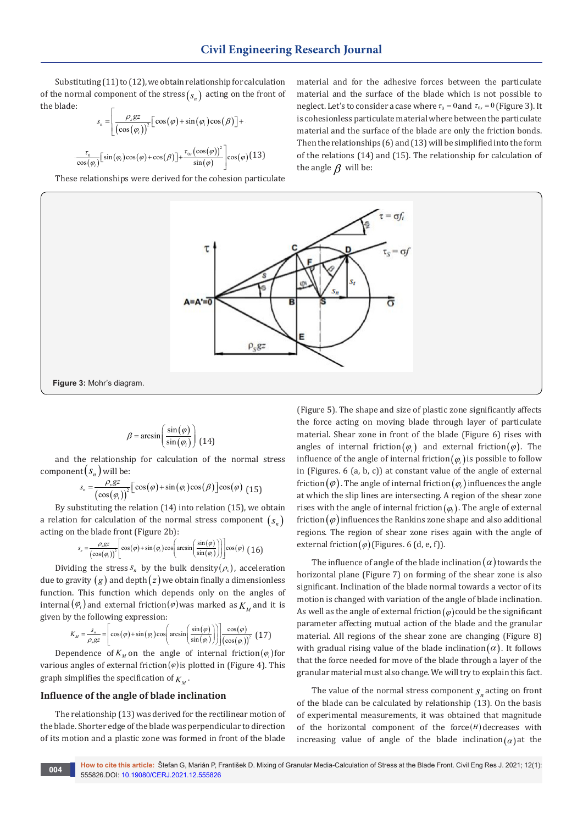Substituting (11) to (12), we obtain relationship for calculation of the normal component of the stress  $(s_n)$  acting on the front of the blade:

$$
S_n = \left[ \frac{\rho_s g z}{\left( \cos(\varphi_i) \right)^2} \left[ \cos(\varphi) + \sin(\varphi_i) \cos(\beta) \right] + \cdots \right]
$$

$$
\frac{\tau_0}{\cos(\varphi_i)}\Big[\sin(\varphi_i)\cos(\varphi)+\cos(\beta)\Big]+\frac{\tau_{0s}\big(\cos(\varphi)\big)^2}{\sin(\varphi)}\Big]\cos(\varphi)\big(13\big)
$$

These relationships were derived for the cohesion particulate

 $=\left[\frac{\rho_s gz}{\left(\cos(\varphi_i)\right)^2}\left[\cos(\varphi) + \sin(\varphi_i)\cos(\beta)\right] + \right]$  is cohesionless particulate material where between the particulate material and the surface of the blade are only the friction bonds. neglect. Let's to consider a case where  $\tau_0 = 0$  and  $\tau_{0s} = 0$  (Figure 3). It  $s_n = \frac{\rho_s gz}{\frac{\rho_s \left( \cos(\varphi) + \sin(\varphi) \cos(\varphi) \right)}{\rho_s}} [\cos(\varphi) + \sin(\varphi) \cos(\varphi)] + \frac{\cos(\varphi)}{\rho_s}$  is cohesionless particulate material v material and for the adhesive forces between the particulate material and the surface of the blade which is not possible to is cohesionless particulate material where between the particulate Then the relationships (6) and (13) will be simplified into the form of the relations (14) and (15). The relationship for calculation of the angle  $\beta$  will be:



$$
\beta = \arcsin\left(\frac{\sin(\varphi)}{\sin(\varphi_i)}\right)
$$
(14)

and the relationship for calculation of the normal stress component $(s_n)$  will be:

$$
s_n = \frac{\rho_s g z}{\left(\cos(\varphi_i)\right)^2} \left[\cos(\varphi) + \sin(\varphi_i)\cos(\beta)\right] \cos(\varphi) \tag{15}
$$

By substituting the relation (14) into relation (15), we obtain a relation for calculation of the normal stress component  $(s_n)$ acting on the blade front (Figure 2b):

$$
s_n = \frac{\rho_s gz}{(\cos(\varphi_i))^2} \left[ \cos(\varphi) + \sin(\varphi_i) \cos\left(\arcsin\left(\frac{\sin(\varphi_i)}{\sin(\varphi_i)}\right)\right) \right] \cos(\varphi) \tag{16}
$$

Dividing the stress  $s_n$  by the bulk density( $\rho_s$ ), acceleration due to gravity  $(g)$  and depth $(z)$  we obtain finally a dimensionless function. This function which depends only on the angles of internal( $\varphi$ <sub>*i*</sub>) and external friction( $\varphi$ ) was marked as  $K_{\alpha}$  and it is given by the following expression:

$$
K_M = \frac{s_n}{\rho_s g z} = \left[ \cos(\varphi) + \sin(\varphi_i) \cos\left(\arcsin\left(\frac{\sin(\varphi)}{\sin(\varphi_i)}\right)\right) \right] \frac{\cos(\varphi)}{\left(\cos(\varphi_i)\right)^2} (17)
$$

Dependence of  $K_M$  on the angle of internal friction( $\varphi_i$ ) for various angles of external friction $(\varphi)$  is plotted in (Figure 4). This graph simplifies the specification of  $K_{\mu}$ .

## **Influence of the angle of blade inclination**

The relationship (13) was derived for the rectilinear motion of the blade. Shorter edge of the blade was perpendicular to direction of its motion and a plastic zone was formed in front of the blade

(Figure 5). The shape and size of plastic zone significantly affects the force acting on moving blade through layer of particulate material. Shear zone in front of the blade (Figure 6) rises with angles of internal friction( $\varphi$ <sub>*i*</sub>) and external friction( $\varphi$ ). The influence of the angle of internal friction( $\varphi$ ) is possible to follow in (Figures. 6 (a, b, c)) at constant value of the angle of external friction( $\varphi$ ). The angle of internal friction( $\varphi$ <sub>i</sub>) influences the angle at which the slip lines are intersecting. A region of the shear zone rises with the angle of internal friction( $\varphi$ <sub>i</sub>). The angle of external friction( $\varphi$ ) influences the Rankins zone shape and also additional regions. The region of shear zone rises again with the angle of external friction( $\varphi$ ) (Figures. 6 (d, e, f)).

The influence of angle of the blade inclination  $\alpha$  ) towards the horizontal plane (Figure 7) on forming of the shear zone is also significant. Inclination of the blade normal towards a vector of its motion is changed with variation of the angle of blade inclination. As well as the angle of external friction( $\varphi$ ) could be the significant parameter affecting mutual action of the blade and the granular material. All regions of the shear zone are changing (Figure 8) with gradual rising value of the blade inclination  $(\alpha)$ . It follows that the force needed for move of the blade through a layer of the granular material must also change. We will try to explain this fact.

The value of the normal stress component  $s_n$  acting on front of the blade can be calculated by relationship (13). On the basis of experimental measurements, it was obtained that magnitude of the horizontal component of the force $(H)$  decreases with increasing value of angle of the blade inclination( $\alpha$ ) at the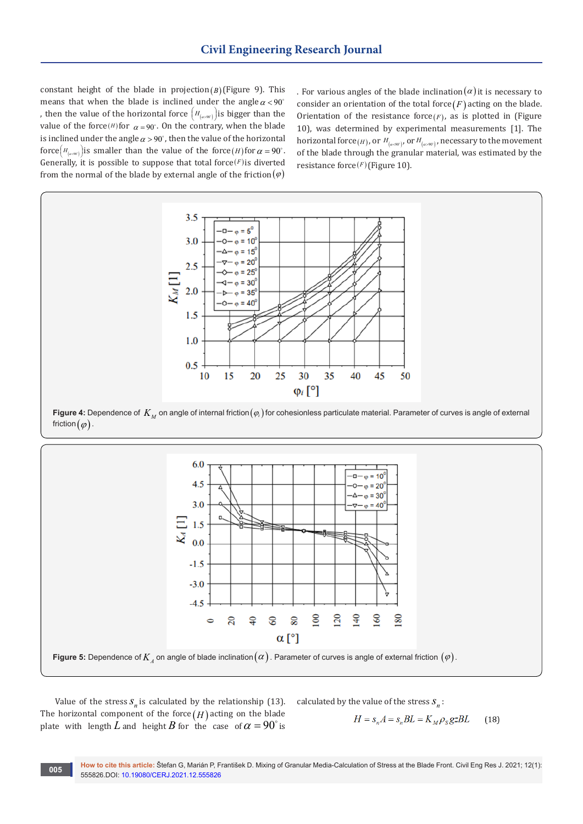constant height of the blade in projection( $B$ )(Figure 9). This means that when the blade is inclined under the angle  $\alpha < 90^\circ$ , then the value of the horizontal force  $\left( H_{\scriptscriptstyle (a\!\gg\! W)}\right)$  is bigger than the value of the force(*H*) for  $\alpha = 90^\circ$ . On the contrary, when the blade is inclined under the angle  $\alpha > 90^\circ$ , then the value of the horizontal force  $\left( H_{a\rightarrow\infty}\right)$  *H* is smaller than the value of the force *(H)* for  $\alpha = 90^{\circ}$ . Generally, it is possible to suppose that total force $(F)$  is diverted from the normal of the blade by external angle of the friction  $(\varphi)$ 

. For various angles of the blade inclination  $(\alpha)$  it is necessary to consider an orientation of the total force  $(F)$  acting on the blade. Orientation of the resistance force $(F)$ , as is plotted in (Figure 10), was determined by experimental measurements [1]. The horizontal force(*H*), or  $H_{(a\rightarrow 90)}$ , or  $H_{(a\rightarrow 90)}$ , necessary to the movement of the blade through the granular material, was estimated by the resistance force(*<sup>F</sup>* )(Figure 10).



**Figure 4:** Dependence of  $K_M$  on angle of internal friction( $\varphi_i$ ) for cohesionless particulate material. Parameter of curves is angle of external friction  $(\varphi)$ .



Value of the stress  $S_n$  is calculated by the relationship (13). The horizontal component of the force  $(H)$  acting on the blade plate with length *L* and height *B* for the case of  $\alpha = 90^\circ$  is calculated by the value of the stress  $S_n$ :

$$
H = s_n A = s_n BL = K_M \rho_s g z BL \qquad (18)
$$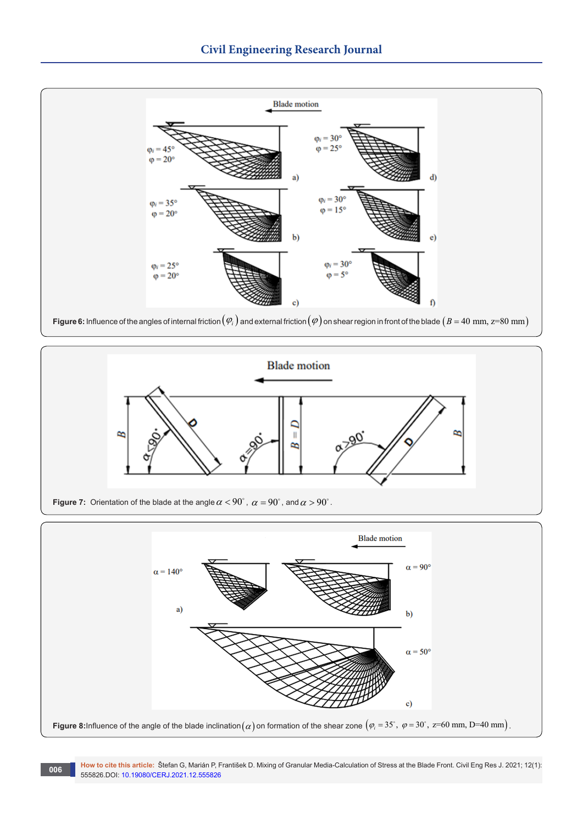

**Figure 6:** Influence of the angles of internal friction  $(\varphi_i)$  and external friction  $(\varphi)$  on shear region in front of the blade  $(B = 40 \text{ mm}, z=80 \text{ mm})$ 



**Figure 7:** Orientation of the blade at the angle  $\alpha < 90^{\circ}$  ,  $\alpha = 90^{\circ}$  , and  $\alpha > 90^{\circ}$  .

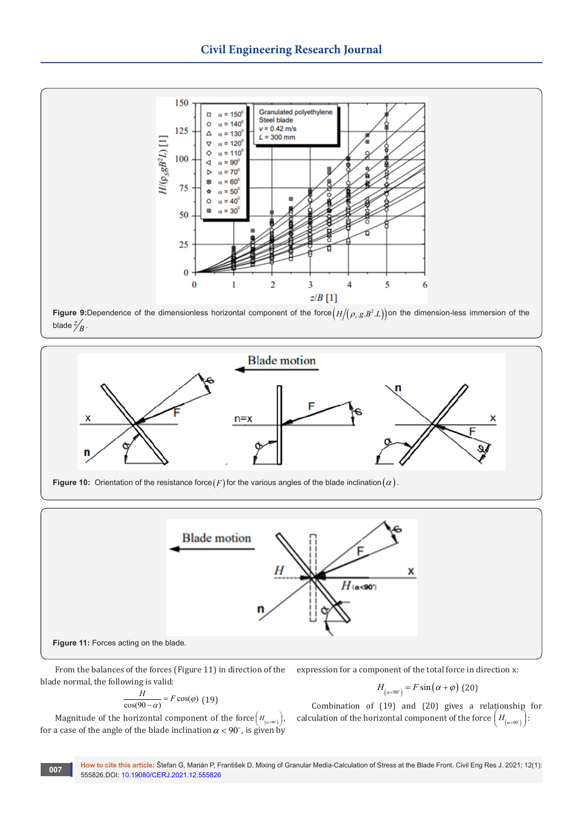

**Figure 9:**Dependence of the dimensionless horizontal component of the force  $(H/(\rho_s.g.B^2.L))$  on the dimension-less immersion of the blade  $\frac{z}{B}$ .





From the balances of the forces (Figure 11) in direction of the blade normal, the following is valid:

$$
\frac{H}{\cos(90-\alpha)} = F\cos(\varphi)
$$
 (19)

expression for a component of the total force in direction x:

$$
H_{\left(\alpha<90^\circ\right)} = F\sin\left(\alpha+\varphi\right) \text{ (20)}
$$

Magnitude of the horizontal component of the force  $\left(H_{(a\rightarrow 0^{\circ})}\right)$ , for a case of the angle of the blade inclination  $\alpha < 90^\circ$ , is given by

Combination of (19) and (20) gives a relationship for calculation of the horizontal component of the force  $\left( H_{\left( a\prec 90^\circ\right)}\right)$ :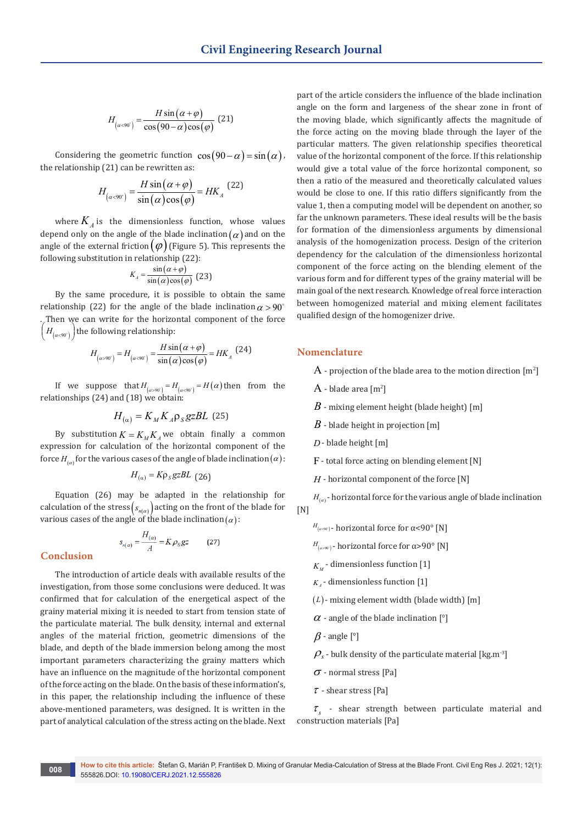$$
H_{\left(\alpha<90^\circ\right)} = \frac{H\sin\left(\alpha+\varphi\right)}{\cos\left(90-\alpha\right)\cos\left(\varphi\right)}\tag{21}
$$

Considering the geometric function  $\cos(90 - \alpha) = \sin(\alpha)$ , the relationship (21) can be rewritten as:

$$
H_{\left(\alpha<90^\circ\right)} = \frac{H\sin\left(\alpha+\varphi\right)}{\sin\left(\alpha\right)\cos\left(\varphi\right)} = HK_{A} \tag{22}
$$

where  $K_A$  is the dimensionless function, whose values depend only on the angle of the blade inclination  $(\alpha)$  and on the angle of the external friction  $(\varphi)$  (Figure 5). This represents the following substitution in relationship (22):

$$
K_A = \frac{\sin(\alpha + \varphi)}{\sin(\alpha)\cos(\varphi)}
$$
 (23)

By the same procedure, it is possible to obtain the same relationship (22) for the angle of the blade inclination  $\alpha > 90^\circ$ . Then we can write for the horizontal component of the force  $\left( H_{\left( \alpha <90^\circ \right)} \right)$  the following relationship:

$$
H_{\left(\alpha > 90^\circ\right)} = H_{\left(\alpha < 90^\circ\right)} = \frac{H\sin\left(\alpha + \varphi\right)}{\sin\left(\alpha\right)\cos\left(\varphi\right)} = HK_A \tag{24}
$$

If we suppose that  $H_{\left(\alpha > 00^{\circ}\right)} = H_{\left(\alpha < 90^{\circ}\right)} = H\left(\alpha\right)$  then from the relationships (24) and (18) we obtain:

$$
H_{(\alpha)} = K_M K_A \rho_S g z B L \quad (25)
$$

By substitution  $K = K_M K_A$  we obtain finally a common expression for calculation of the horizontal component of the force  $H_{(\alpha)}$  for the various cases of the angle of blade inclination ( $\alpha$ ):

$$
H_{(\alpha)} = K \rho_s g z B L \text{ (26)}
$$

Equation (26) may be adapted in the relationship for calculation of the stress  $(s_{n(\alpha)})$  acting on the front of the blade for various cases of the angle of the blade inclination( $\alpha$ ):

$$
s_{n(\alpha)} = \frac{H_{(\alpha)}}{A} = K \rho_S g z \tag{27}
$$

**Conclusion**

The introduction of article deals with available results of the investigation, from those some conclusions were deduced. It was confirmed that for calculation of the energetical aspect of the grainy material mixing it is needed to start from tension state of the particulate material. The bulk density, internal and external angles of the material friction, geometric dimensions of the blade, and depth of the blade immersion belong among the most important parameters characterizing the grainy matters which have an influence on the magnitude of the horizontal component of the force acting on the blade. On the basis of these information's, in this paper, the relationship including the influence of these above-mentioned parameters, was designed. It is written in the part of analytical calculation of the stress acting on the blade. Next

part of the article considers the influence of the blade inclination angle on the form and largeness of the shear zone in front of the moving blade, which significantly affects the magnitude of the force acting on the moving blade through the layer of the particular matters. The given relationship specifies theoretical value of the horizontal component of the force. If this relationship would give a total value of the force horizontal component, so then a ratio of the measured and theoretically calculated values would be close to one. If this ratio differs significantly from the value 1, then a computing model will be dependent on another, so far the unknown parameters. These ideal results will be the basis for formation of the dimensionless arguments by dimensional analysis of the homogenization process. Design of the criterion dependency for the calculation of the dimensionless horizontal component of the force acting on the blending element of the various form and for different types of the grainy material will be main goal of the next research. Knowledge of real force interaction between homogenized material and mixing element facilitates qualified design of the homogenizer drive.

### **Nomenclature**

- $\rm A$  projection of the blade area to the motion direction  $\rm [m^2]$
- $A$  blade area  $[m^2]$
- *B* mixing element height (blade height) [m]
- *B* blade height in projection [m]
- *D* blade height [m]
- F- total force acting on blending element [N]
- *H* horizontal component of the force [N]

 $H_{(a)}$  - horizontal force for the various angle of blade inclination  $[N]$ 

- $H_{(a\rightarrow 0^{\circ})}$  horizontal force for α<90° [N]
- $H_{(a>90°)}$  horizontal force for α>90° [N]
- $K_{\mu}$  dimensionless function [1]
- $K_A$  dimensionless function [1]
- (*L*)- mixing element width (blade width) [m]
- $\alpha$  angle of the blade inclination [°]
- $\beta$  angle [°]
- $\rho$ <sub>s</sub> bulk density of the particulate material [kg.m<sup>-3</sup>]
- $\sigma$  normal stress [Pa]
- $\tau$  shear stress [Pa]

 $\tau_s$  - shear strength between particulate material and construction materials [Pa]